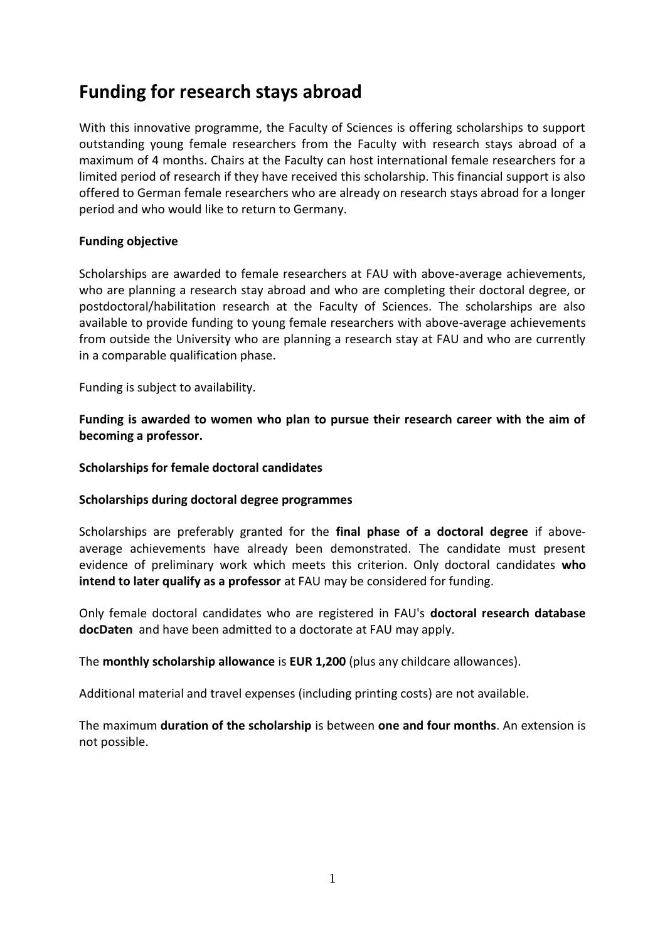# **Funding for research stays abroad**

With this innovative programme, the Faculty of Sciences is offering scholarships to support outstanding young female researchers from the Faculty with research stays abroad of a maximum of 4 months. Chairs at the Faculty can host international female researchers for a limited period of research if they have received this scholarship. This financial support is also offered to German female researchers who are already on research stays abroad for a longer period and who would like to return to Germany.

### **Funding objective**

Scholarships are awarded to female researchers at FAU with above-average achievements, who are planning a research stay abroad and who are completing their doctoral degree, or postdoctoral/habilitation research at the Faculty of Sciences. The scholarships are also available to provide funding to young female researchers with above-average achievements from outside the University who are planning a research stay at FAU and who are currently in a comparable qualification phase.

Funding is subject to availability.

**Funding is awarded to women who plan to pursue their research career with the aim of becoming a professor.** 

### **Scholarships for female doctoral candidates**

#### **Scholarships during doctoral degree programmes**

Scholarships are preferably granted for the **final phase of a doctoral degree** if aboveaverage achievements have already been demonstrated. The candidate must present evidence of preliminary work which meets this criterion. Only doctoral candidates **who intend to later qualify as a professor** at FAU may be considered for funding.

Only female doctoral candidates who are registered in FAU's **doctoral research database docDaten** and have been admitted to a doctorate at FAU may apply.

The **monthly scholarship allowance** is **EUR 1,200** (plus any childcare allowances).

Additional material and travel expenses (including printing costs) are not available.

The maximum **duration of the scholarship** is between **one and four months**. An extension is not possible.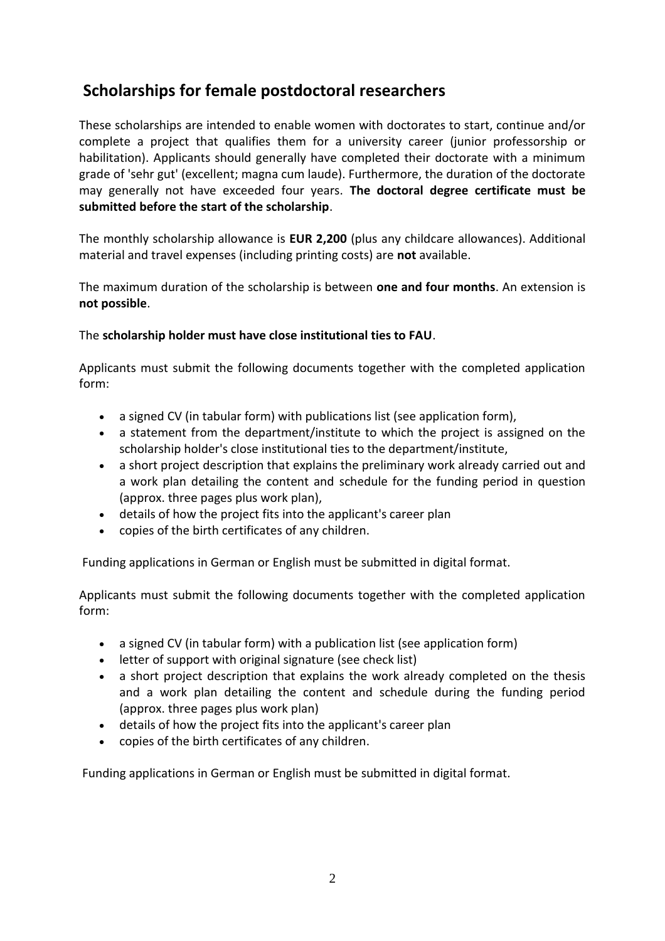# **Scholarships for female postdoctoral researchers**

These scholarships are intended to enable women with doctorates to start, continue and/or complete a project that qualifies them for a university career (junior professorship or habilitation). Applicants should generally have completed their doctorate with a minimum grade of 'sehr gut' (excellent; magna cum laude). Furthermore, the duration of the doctorate may generally not have exceeded four years. **The doctoral degree certificate must be submitted before the start of the scholarship**.

The monthly scholarship allowance is **EUR 2,200** (plus any childcare allowances). Additional material and travel expenses (including printing costs) are **not** available.

The maximum duration of the scholarship is between **one and four months**. An extension is **not possible**.

# The **scholarship holder must have close institutional ties to FAU**.

Applicants must submit the following documents together with the completed application form:

- a signed CV (in tabular form) with publications list (see application form),
- a statement from the department/institute to which the project is assigned on the scholarship holder's close institutional ties to the department/institute,
- a short project description that explains the preliminary work already carried out and a work plan detailing the content and schedule for the funding period in question (approx. three pages plus work plan),
- details of how the project fits into the applicant's career plan
- copies of the birth certificates of any children.

Funding applications in German or English must be submitted in digital format.

Applicants must submit the following documents together with the completed application form:

- a signed CV (in tabular form) with a publication list (see application form)
- letter of support with original signature (see check list)
- a short project description that explains the work already completed on the thesis and a work plan detailing the content and schedule during the funding period (approx. three pages plus work plan)
- details of how the project fits into the applicant's career plan
- copies of the birth certificates of any children.

Funding applications in German or English must be submitted in digital format.